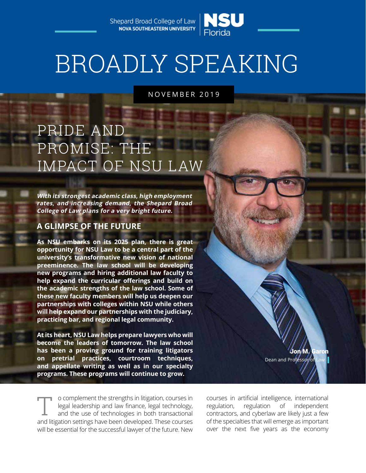Shepard Broad College of Law **NOVA SOUTHEASTERN UNIVERSITY** 



# BROADLY SPEAKING

NOVEMBER 2019

# PRIDE AND PROMISE: THE IMPACT OF NSU LAW

**With its strongest academic class, high employment rates, and increasing demand, the Shepard Broad College of Law plans for a very bright future.** 

## **A GLIMPSE OF THE FUTURE**

**As NSU embarks on its 2025 plan, there is great opportunity for NSU Law to be a central part of the university's transformative new vision of national preeminence. The law school will be developing new programs and hiring additional law faculty to help expand the curricular offerings and build on the academic strengths of the law school. Some of these new faculty members will help us deepen our partnerships with colleges within NSU while others will help expand our partnerships with the judiciary, practicing bar, and regional legal community.**

**At its heart, NSU Law helps prepare lawyers who will become the leaders of tomorrow. The law school has been a proving ground for training litigators on pretrial practices, courtroom techniques, and appellate writing as well as in our specialty programs. These programs will continue to grow.**

o complement the strengths in litigation, courses in legal leadership and law finance, legal technology, and the use of technologies in both transactional and litigation settings have been developed. These courses will be essential for the successful lawyer of the future. New T

Jon M. Ga Dean and Professor of

courses in artificial intelligence, international regulation, regulation of independent contractors, and cyberlaw are likely just a few of the specialties that will emerge as important over the next five years as the economy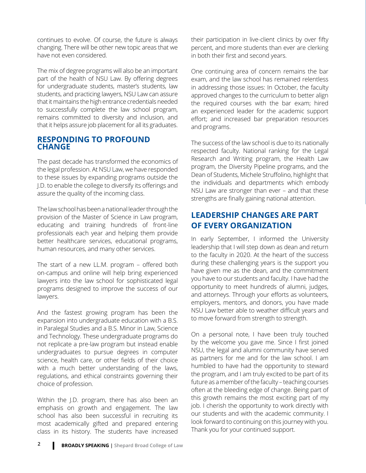continues to evolve. Of course, the future is always changing. There will be other new topic areas that we have not even considered.

The mix of degree programs will also be an important part of the health of NSU Law. By offering degrees for undergraduate students, master's students, law students, and practicing lawyers, NSU Law can assure that it maintains the high entrance credentials needed to successfully complete the law school program, remains committed to diversity and inclusion, and that it helps assure job placement for all its graduates.

## **RESPONDING TO PROFOUND CHANGE**

The past decade has transformed the economics of the legal profession. At NSU Law, we have responded to these issues by expanding programs outside the J.D. to enable the college to diversify its offerings and assure the quality of the incoming class.

The law school has been a national leader through the provision of the Master of Science in Law program, educating and training hundreds of front-line professionals each year and helping them provide better healthcare services, educational programs, human resources, and many other services.

The start of a new LL.M. program – offered both on-campus and online will help bring experienced lawyers into the law school for sophisticated legal programs designed to improve the success of our lawyers.

And the fastest growing program has been the expansion into undergraduate education with a B.S. in Paralegal Studies and a B.S. Minor in Law, Science and Technology. These undergraduate programs do not replicate a pre-law program but instead enable undergraduates to pursue degrees in computer science, health care, or other fields of their choice with a much better understanding of the laws, regulations, and ethical constraints governing their choice of profession.

Within the J.D. program, there has also been an emphasis on growth and engagement. The law school has also been successful in recruiting its most academically gifted and prepared entering class in its history. The students have increased their participation in live-client clinics by over fifty percent, and more students than ever are clerking in both their first and second years.

One continuing area of concern remains the bar exam, and the law school has remained relentless in addressing those issues: In October, the faculty approved changes to the curriculum to better align the required courses with the bar exam; hired an experienced leader for the academic support effort; and increased bar preparation resources and programs.

The success of the law school is due to its nationally respected faculty. National ranking for the Legal Research and Writing program, the Health Law program, the Diversity Pipeline programs, and the Dean of Students, Michele Struffolino, highlight that the individuals and departments which embody NSU Law are stronger than ever – and that these strengths are finally gaining national attention.

## **LEADERSHIP CHANGES ARE PART OF EVERY ORGANIZATION**

In early September, I informed the University leadership that I will step down as dean and return to the faculty in 2020. At the heart of the success during these challenging years is the support you have given me as the dean, and the commitment you have to our students and faculty. I have had the opportunity to meet hundreds of alumni, judges, and attorneys. Through your efforts as volunteers, employers, mentors, and donors, you have made NSU Law better able to weather difficult years and to move forward from strength to strength.

On a personal note, I have been truly touched by the welcome you gave me. Since I first joined NSU, the legal and alumni community have served as partners for me and for the law school. I am humbled to have had the opportunity to steward the program, and I am truly excited to be part of its future as a member of the faculty – teaching courses often at the bleeding edge of change. Being part of this growth remains the most exciting part of my job. I cherish the opportunity to work directly with our students and with the academic community. I look forward to continuing on this journey with you. Thank you for your continued support.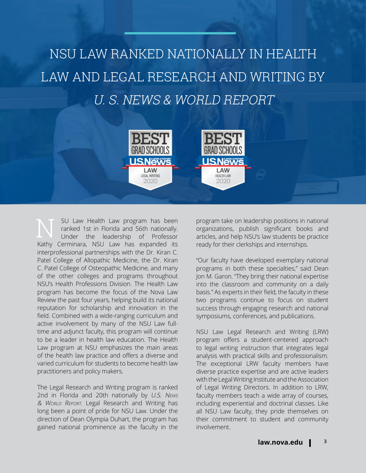# NSU LAW RANKED NATIONALLY IN HEALTH LAW AND LEGAL RESEARCH AND WRITING BY U. S. NEWS & WORLD REPORT

**JSNews** 

LAW

LEGAL WRITING

2020

**GRAD SCHO** 

**USNews** 

LAW

**HEALTH LAW** 

2020

SU Law Health Law program has been<br>
ranked 1st in Florida and 56th nationally.<br>
Under the leadership of Professor ranked 1st in Florida and 56th nationally. Kathy Cerminara, NSU Law has expanded its interprofessional partnerships with the Dr. Kiran C. Patel College of Allopathic Medicine, the Dr. Kiran C. Patel College of Osteopathic Medicine, and many of the other colleges and programs throughout NSU's Health Professions Division. The Health Law program has become the focus of the Nova Law Review the past four years, helping build its national reputation for scholarship and innovation in the field. Combined with a wide-ranging curriculum and active involvement by many of the NSU Law fulltime and adjunct faculty, this program will continue to be a leader in health law education. The Health Law program at NSU emphasizes the main areas of the health law practice and offers a diverse and varied curriculum for students to become health law practitioners and policy makers.

The Legal Research and Writing program is ranked 2nd in Florida and 20th nationally by U.S. News & World Report. Legal Research and Writing has long been a point of pride for NSU Law. Under the direction of Dean Olympia Duhart, the program has gained national prominence as the faculty in the

program take on leadership positions in national organizations, publish significant books and articles, and help NSU's law students be practice ready for their clerkships and internships.

"Our faculty have developed exemplary national programs in both these specialties," said Dean Jon M. Garon. "They bring their national expertise into the classroom and community on a daily basis." As experts in their field, the faculty in these two programs continue to focus on student success through engaging research and national symposiums, conferences, and publications.

NSU Law Legal Research and Writing (LRW) program offers a student-centered approach to legal writing instruction that integrates legal analysis with practical skills and professionalism. The exceptional LRW faculty members have diverse practice expertise and are active leaders with the Legal Writing Institute and the Association of Legal Writing Directors. In addition to LRW, faculty members teach a wide array of courses, including experiential and doctrinal classes. Like all NSU Law faculty, they pride themselves on their commitment to student and community involvement.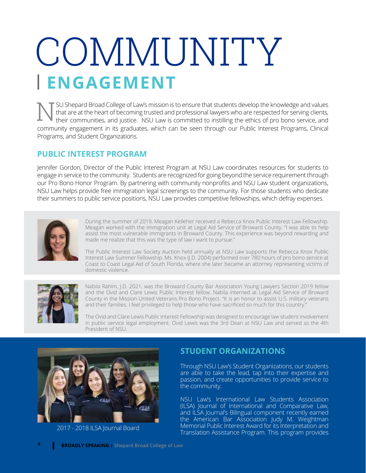# COMMUNITY **ENGAGEMENT**

SU Shepard Broad College of Law's mission is to ensure that students develop the knowledge and values that are at the heart of becoming trusted and professional lawyers who are respected for serving clients, their communities, and justice. NSU Law is committed to instilling the ethics of pro bono service, and N community engagement in its graduates, which can be seen through our Public Interest Programs, Clinical Programs, and Student Organizations.

## **PUBLIC INTEREST PROGRAM**

Jennifer Gordon, Director of the Public Interest Program at NSU Law coordinates resources for students to engage in service to the community. Students are recognized for going beyond the service requirement through our Pro Bono Honor Program. By partnering with community nonprofits and NSU Law student organizations, NSU Law helps provide free immigration legal screenings to the community. For those students who dedicate their summers to public service positions, NSU Law provides competitive fellowships, which defray expenses.



During the summer of 2019, Meagan Kelleher received a Rebecca Knox Public Interest Law Fellowship. Meagan worked with the immigration unit at Legal Aid Service of Broward County. "I was able to help assist the most vulnerable immigrants in Broward County. This experience was beyond rewarding and made me realize that this was the type of law I want to pursue."

The Public Interest Law Society Auction held annually at NSU Law supports the Rebecca Knox Public Interest Law Summer Fellowship. Ms. Knox (J.D. 2004) performed over 780 hours of pro bono service at Coast to Coast Legal Aid of South Florida, where she later became an attorney representing victims of domestic violence.



Nabila Rahim, J.D. 2021, was the Broward County Bar Association Young Lawyers Section 2019 fellow and the Ovid and Clare Lewis Public Interest fellow. Nabila interned at Legal Aid Service of Broward County in the Mission United Veterans Pro Bono Project. "It is an honor to assist U.S. military veterans and their families. I feel privileged to help those who have sacrificed so much for this country."

The Ovid and Clare Lewis Public Interest Fellowship was designed to encourage law student involvement in public service legal employment. Ovid Lewis was the 3rd Dean at NSU Law and served as the 4th President of NSU.



2017 - 2018 ILSA Journal Board

## **STUDENT ORGANIZATIONS**

Through NSU Law's Student Organizations, our students are able to take the lead, tap into their expertise and passion, and create opportunities to provide service to the community.

NSU Law's International Law Students Association (ILSA) Journal of International and Comparative Law, and ILSA Journal's Bilingual component recently earned the American Bar Association Judy M. Weightman Memorial Public Interest Award for its Interpretation and Translation Assistance Program. This program provides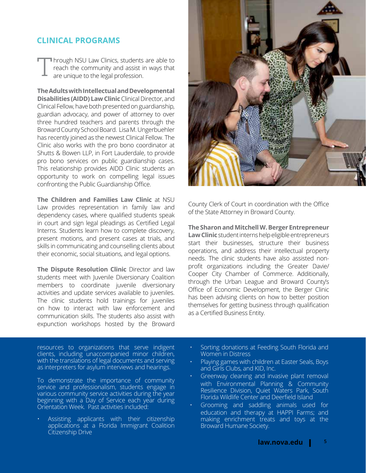## **CLINICAL PROGRAMS**

**h** hrough NSU Law Clinics, students are able to reach the community and assist in ways that are unique to the legal profession. T

**The Adults with Intellectual and Developmental Disabilities (AIDD) Law Clinic** Clinical Director, and Clinical Fellow, have both presented on guardianship, guardian advocacy, and power of attorney to over three hundred teachers and parents through the Broward County School Board. Lisa M. Ungerbuehler has recently joined as the newest Clinical Fellow. The Clinic also works with the pro bono coordinator at Shutts & Bowen LLP, in Fort Lauderdale, to provide pro bono services on public guardianship cases. This relationship provides AIDD Clinic students an opportunity to work on compelling legal issues confronting the Public Guardianship Office.

**The Children and Families Law Clinic** at NSU Law provides representation in family law and dependency cases, where qualified students speak in court and sign legal pleadings as Certified Legal Interns. Students learn how to complete discovery, present motions, and present cases at trials, and skills in communicating and counselling clients about their economic, social situations, and legal options.

**The Dispute Resolution Clinic** Director and law students meet with Juvenile Diversionary Coalition members to coordinate juvenile diversionary activities and update services available to juveniles. The clinic students hold trainings for juveniles on how to interact with law enforcement and communication skills. The students also assist with expunction workshops hosted by the Broward

County Clerk of Court in coordination with the Office of the State Attorney in Broward County.

**The Sharon and Mitchell W. Berger Entrepreneur Law Clinic**student interns help eligible entrepreneurs start their businesses, structure their business operations, and address their intellectual property needs. The clinic students have also assisted nonprofit organizations including the Greater Davie/ Cooper City Chamber of Commerce. Additionally, through the Urban League and Broward County's Office of Economic Development, the Berger Clinic has been advising clients on how to better position themselves for getting business through qualification

resources to organizations that serve indigent clients, including unaccompanied minor children, with the translations of legal documents and serving as interpreters for asylum interviews and hearings.

To demonstrate the importance of community service and professionalism, students engage in various community service activities during the year beginning with a Day of Service each year during Orientation Week. Past activities included:

• Assisting applicants with their citizenship applications at a Florida Immigrant Coalition Citizenship Drive

• Sorting donations at Feeding South Florida and Women in Distress

as a Certified Business Entity.

- Playing games with children at Easter Seals, Boys and Girls Clubs, and KID, Inc.
- Greenway cleaning and invasive plant removal with Environmental Planning & Community Resilience Division, Quiet Waters Park, South Florida Wildlife Center and Deerfield Island
- Grooming and saddling animals used for education and therapy at HAPPI Farms; and making enrichment treats and toys at the Broward Humane Society.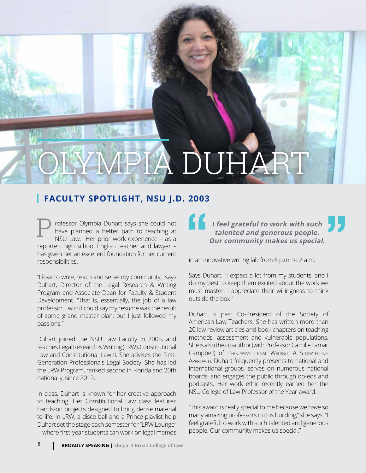# IPIA DUHAI

## **FACULTY SPOTLIGHT, NSU J.D. 2003**

**talented and generous people.**<br>
The **talented and generous people.**<br>
NSU Law. Her prior work experience – as a<br>
reporter, high school English teacher and lawyer –<br>
has given her an excellent foundation for her current<br> **t** have planned a better path to teaching at NSU Law. Her prior work experience – as a reporter, high school English teacher and lawyer – has given her an excellent foundation for her current responsibilities.

"I love to write, teach and serve my community," says Duhart, Director of the Legal Research & Writing Program and Associate Dean for Faculty & Student Development. "That is, essentially, the job of a law professor. I wish I could say my resume was the result of some grand master plan, but I just followed my passions."

Duhart joined the NSU Law Faculty in 2005, and teaches Legal Research & Writing (LRW), Constitutional Law and Constitutional Law II. She advises the First-Generation Professionals Legal Society. She has led the LRW Program, ranked second in Florida and 20th nationally, since 2012.

In class, Duhart is known for her creative approach to teaching. Her Constitutional Law class features hands-on projects designed to bring dense material to life. In LRW, a disco ball and a Prince playlist help Duhart set the stage each semester for "LRW Lounge" -- where first-year students can work on legal memos

## **I feel grateful to work with such Our community makes us special.** CULTY SPOTLIGHT, NSU J.D. 2003<br>
rofessor Olympia Duhart says she could not<br>
have planned a better path to teaching at **the counted and concreus poonle**

in an innovative writing lab from 6 p.m. to 2 a.m.

Says Duhart: "I expect a lot from my students, and I do my best to keep them excited about the work we must master. I appreciate their willingness to think outside the box."

Duhart is past Co-President of the Society of American Law Teachers. She has written more than 20 law review articles and book chapters on teaching methods, assessment and vulnerable populations. She is also the co-author (with Professor Camille Lamar Campbell) of Persuasive Legal Writing: A Storytelling Approach. Duhart frequently presents to national and international groups, serves on numerous national boards, and engages the public through op-eds and podcasts. Her work ethic recently earned her the NSU College of Law Professor of the Year award.

"This award is really special to me because we have so many amazing professors in this building," she says. "I feel grateful to work with such talented and generous people. Our community makes us special."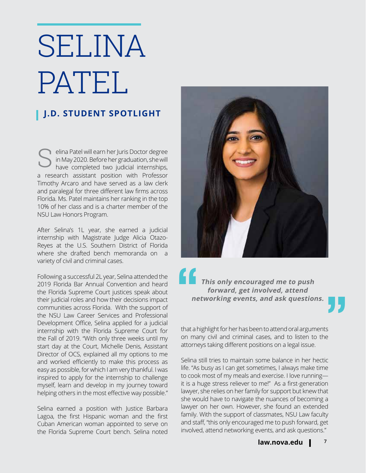# SELINA PATEL

## **J.D. STUDENT SPOTLIGHT**

elina Patel will earn her Juris Doctor degree<br>in May 2020. Before her graduation, she will<br>have completed two judicial internships, in May 2020. Before her graduation, she will have completed two judicial internships, a research assistant position with Professor Timothy Arcaro and have served as a law clerk and paralegal for three different law firms across Florida. Ms. Patel maintains her ranking in the top 10% of her class and is a charter member of the NSU Law Honors Program.

After Selina's 1L year, she earned a judicial internship with Magistrate Judge Alicia Otazo-Reyes at the U.S. Southern District of Florida where she drafted bench memoranda on a variety of civil and criminal cases.

Following a successful 2L year, Selina attended the 2019 Florida Bar Annual Convention and heard the Florida Supreme Court justices speak about their judicial roles and how their decisions impact communities across Florida. With the support of the NSU Law Career Services and Professional Development Office, Selina applied for a judicial internship with the Florida Supreme Court for the Fall of 2019. "With only three weeks until my start day at the Court, Michelle Denis, Assistant Director of OCS, explained all my options to me and worked efficiently to make this process as easy as possible, for which I am very thankful. I was inspired to apply for the internship to challenge myself, learn and develop in my journey toward helping others in the most effective way possible."

Selina earned a position with Justice Barbara Lagoa, the first Hispanic woman and the first Cuban American woman appointed to serve on the Florida Supreme Court bench. Selina noted



**This only encouraged me to push forward, get involved, attend**  " **networking events, and ask questions.**

that a highlight for her has been to attend oral arguments on many civil and criminal cases, and to listen to the attorneys taking different positions on a legal issue.

Selina still tries to maintain some balance in her hectic life. "As busy as I can get sometimes, I always make time to cook most of my meals and exercise. I love running it is a huge stress reliever to me!" As a first-generation lawyer, she relies on her family for support but knew that she would have to navigate the nuances of becoming a lawyer on her own. However, she found an extended family. With the support of classmates, NSU Law faculty and staff, "this only encouraged me to push forward, get involved, attend networking events, and ask questions."

"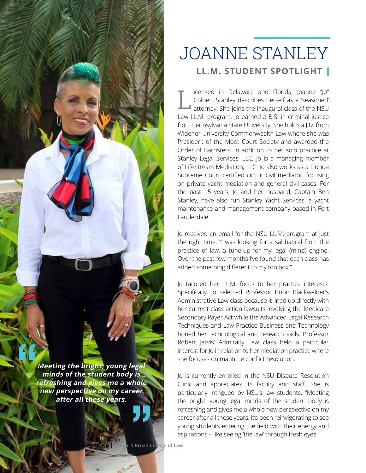

**Meeting the bright, young legal minds of the student body is refreshing and gives me a whole new perspective on my career<br>
after all these years. after all these years.** "

## **LL.M. STUDENT SPOTLIGHT** JOANNE STANLEY

L icensed in Delaware and Florida, Joanne "Jo" Colbert Stanley describes herself as a 'seasoned'  $\blacksquare$  attorney. She joins the inaugural class of the NSU Law LL.M. program. Jo earned a B.S. in criminal justice from Pennsylvania State University. She holds a J.D. from Widener University Commonwealth Law where she was President of the Moot Court Society and awarded the Order of Barristers. In addition to her solo practice at Stanley Legal Services, LLC, Jo is a managing member of LifeStream Mediation, LLC. Jo also works as a Florida Supreme Court certified circuit civil mediator, focusing on private yacht mediation and general civil cases. For the past 15 years, Jo and her husband, Captain Ben Stanley, have also run Stanley Yacht Services, a yacht maintenance and management company based in Fort Lauderdale.

Jo received an email for the NSU LL.M. program at just the right time. "I was looking for a sabbatical from the practice of law, a tune-up for my legal (mind) engine. Over the past few months I've found that each class has added something different to my toolbox."

Jo tailored her LL.M. focus to her practice interests. Specifically, Jo selected Professor Brion Blackwelder's Administrative Law class because it lined up directly with her current class action lawsuits involving the Medicare Secondary Payer Act while the Advanced Legal Research Techniques and Law Practice Business and Technology honed her technological and research skills. Professor Robert Jarvis' Admiralty Law class held a particular interest for Jo in relation to her mediation practice where she focuses on maritime conflict resolution.

Jo is currently enrolled in the NSU Dispute Resolution Clinic and appreciates its faculty and staff. She is particularly intrigued by NSU's law students. "Meeting the bright, young legal minds of the student body is refreshing and gives me a whole new perspective on my career after all these years. It's been reinvigorating to see young students entering the field with their energy and aspirations – like seeing 'the law' through fresh eyes."

**8 Broad College of Law**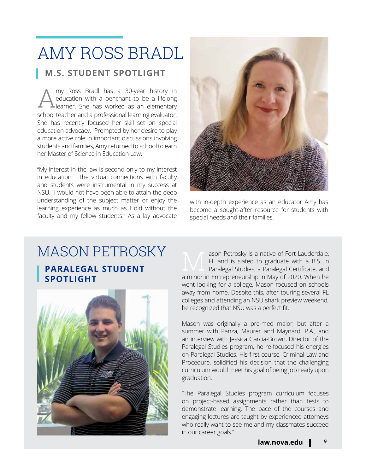# AMY ROSS BRADL

## **M.S. STUDENT SPOTLIGHT**

Amy Ross Bradl has a 30-year history in education with a penchant to be a lifelong learner. She has worked as an elementary education with a penchant to be a lifelong  $\blacktriangle$  learner. She has worked as an elementary school teacher and a professional learning evaluator. She has recently focused her skill set on special education advocacy. Prompted by her desire to play a more active role in important discussions involving students and families, Amy returned to school to earn her Master of Science in Education Law.

"My interest in the law is second only to my interest in education. The virtual connections with faculty and students were instrumental in my success at NSU. I would not have been able to attain the deep understanding of the subject matter or enjoy the learning experience as much as I did without the faculty and my fellow students." As a lay advocate



with in-depth experience as an educator Amy has become a sought-after resource for students with special needs and their families.

## **PARALEGAL STUDENT SPOTLIGHT** MASON PETROSKY and alson Petrosky is a native of Fort Lauderdale,



FL and is slated to graduate with a B.S. in Paralegal Studies, a Paralegal Certificate, and a minor in Entrepreneurship in May of 2020. When he went looking for a college, Mason focused on schools away from home. Despite this, after touring several FL colleges and attending an NSU shark preview weekend, he recognized that NSU was a perfect fit.

Mason was originally a pre-med major, but after a summer with Panza, Maurer and Maynard, P.A., and an interview with Jessica Garcia-Brown, Director of the Paralegal Studies program, he re-focused his energies on Paralegal Studies. His first course, Criminal Law and Procedure, solidified his decision that the challenging curriculum would meet his goal of being job ready upon graduation.

"The Paralegal Studies program curriculum focuses on project-based assignments rather than tests to demonstrate learning. The pace of the courses and engaging lectures are taught by experienced attorneys who really want to see me and my classmates succeed in our career goals."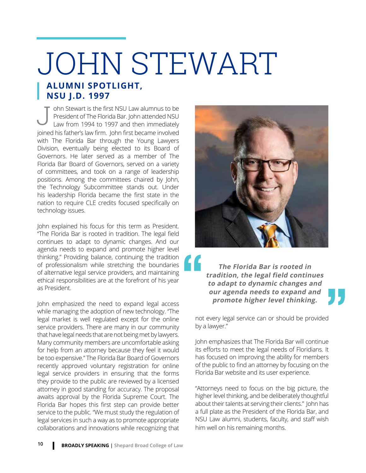# **ALUMNI SPOTLIGHT, NSU J.D. 1997** JOHN STEWART

J ohn Stewart is the first NSU Law alumnus to be President of The Florida Bar. John attended NSU Law from 1994 to 1997 and then immediately joined his father's law firm. John first became involved with The Florida Bar through the Young Lawyers Division, eventually being elected to its Board of Governors. He later served as a member of The Florida Bar Board of Governors, served on a variety of committees, and took on a range of leadership positions. Among the committees chaired by John, the Technology Subcommittee stands out. Under his leadership Florida became the first state in the nation to require CLE credits focused specifically on technology issues.

John explained his focus for this term as President. "The Florida Bar is rooted in tradition. The legal field continues to adapt to dynamic changes. And our agenda needs to expand and promote higher level thinking." Providing balance, continuing the tradition of professionalism while stretching the boundaries of alternative legal service providers, and maintaining ethical responsibilities are at the forefront of his year as President.

John emphasized the need to expand legal access while managing the adoption of new technology. "The legal market is well regulated except for the online service providers. There are many in our community that have legal needs that are not being met by lawyers. Many community members are uncomfortable asking for help from an attorney because they feel it would be too expensive." The Florida Bar Board of Governors recently approved voluntary registration for online legal service providers in ensuring that the forms they provide to the public are reviewed by a licensed attorney in good standing for accuracy. The proposal awaits approval by the Florida Supreme Court. The Florida Bar hopes this first step can provide better service to the public. "We must study the regulation of legal services in such a way as to promote appropriate collaborations and innovations while recognizing that



**The Florida Bar is rooted in tradition, the legal field continues to adapt to dynamic changes and our agenda needs to expand and promote higher level thinking.** "

<u>,</u>

not every legal service can or should be provided by a lawyer."

John emphasizes that The Florida Bar will continue its efforts to meet the legal needs of Floridians. It has focused on improving the ability for members of the public to find an attorney by focusing on the Florida Bar website and its user experience.

"Attorneys need to focus on the big picture, the higher level thinking, and be deliberately thoughtful about their talents at serving their clients." John has a full plate as the President of the Florida Bar, and NSU Law alumni, students, faculty, and staff wish him well on his remaining months.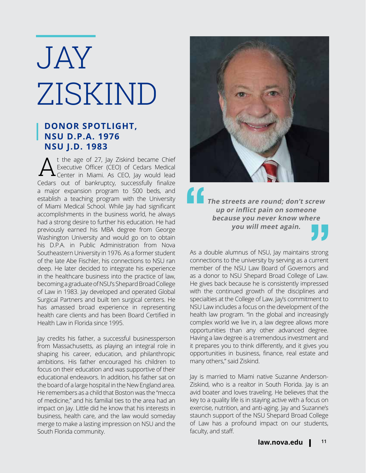# JAY ZISKIND

## **DONOR SPOTLIGHT, NSU D.P.A. 1976 NSU J.D. 1983**

t the age of 27, Jay Ziskind became Chief Executive Officer (CEO) of Cedars Medical **L** Center in Miami. As CEO, Jay would lead Cedars out of bankruptcy, successfully finalize a major expansion program to 500 beds, and establish a teaching program with the University of Miami Medical School. While Jay had significant accomplishments in the business world, he always had a strong desire to further his education. He had previously earned his MBA degree from George Washington University and would go on to obtain his D.P.A. in Public Administration from Nova Southeastern University in 1976. As a former student of the late Abe Fischler, his connections to NSU ran deep. He later decided to integrate his experience in the healthcare business into the practice of law, becoming a graduate of NSU's Shepard Broad College of Law in 1983. Jay developed and operated Global Surgical Partners and built ten surgical centers. He has amassed broad experience in representing health care clients and has been Board Certified in Health Law in Florida since 1995.

Jay credits his father, a successful businessperson from Massachusetts, as playing an integral role in shaping his career, education, and philanthropic ambitions. His father encouraged his children to focus on their education and was supportive of their educational endeavors. In addition, his father sat on the board of a large hospital in the New England area. He remembers as a child that Boston was the "mecca of medicine," and his familial ties to the area had an impact on Jay. Little did he know that his interests in business, health care, and the law would someday merge to make a lasting impression on NSU and the South Florida community.



**The streets are round; don't screw up or inflict pain on someone because you never know where**  " **you will meet again.** <sup>e</sup><br>"<sup>re</sup><br>JJ

As a double alumnus of NSU, Jay maintains strong connections to the university by serving as a current member of the NSU Law Board of Governors and as a donor to NSU Shepard Broad College of Law. He gives back because he is consistently impressed with the continued growth of the disciplines and specialties at the College of Law. Jay's commitment to NSU Law includes a focus on the development of the health law program. "In the global and increasingly complex world we live in, a law degree allows more opportunities than any other advanced degree. Having a law degree is a tremendous investment and it prepares you to think differently, and it gives you opportunities in business, finance, real estate and many others," said Ziskind.

Jay is married to Miami native Suzanne Anderson-Ziskind, who is a realtor in South Florida. Jay is an avid boater and loves traveling. He believes that the key to a quality life is in staying active with a focus on exercise, nutrition, and anti-aging. Jay and Suzanne's staunch support of the NSU Shepard Broad College of Law has a profound impact on our students, faculty, and staff.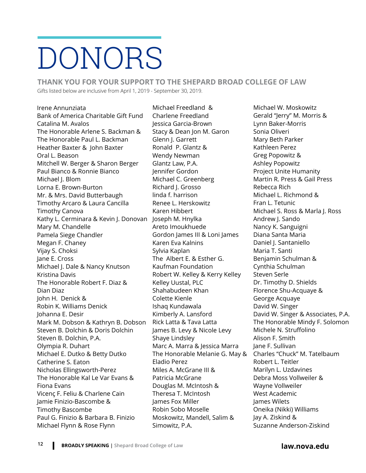# DONORS

**THANK YOU FOR YOUR SUPPORT TO THE SHEPARD BROAD COLLEGE OF LAW** Gifts listed below are inclusive from April 1, 2019 - September 30, 2019.

Irene Annunziata Bank of America Charitable Gift Fund Catalina M. Avalos The Honorable Arlene S. Backman & The Honorable Paul L. Backman Heather Baxter & John Baxter Oral L. Beason Mitchell W. Berger & Sharon Berger Paul Bianco & Ronnie Bianco Michael J. Blom Lorna E. Brown-Burton Mr. & Mrs. David Butterbaugh Timothy Arcaro & Laura Cancilla Timothy Canova Kathy L. Cerminara & Kevin J. Donovan Joseph M. Hnylka Mary M. Chandelle Pamela Siege Chandler Megan F. Chaney Vijay S. Choksi Jane E. Cross Michael J. Dale & Nancy Knutson Kristina Davis The Honorable Robert F. Diaz & Dian Diaz John H. Denick & Robin K. Williams Denick Johanna E. Desir Mark M. Dobson & Kathryn B. Dobson Steven B. Dolchin & Doris Dolchin Steven B. Dolchin, P.A. Olympia R. Duhart Michael E. Dutko & Betty Dutko Catherine S. Eaton Nicholas Ellingsworth-Perez The Honorable Kal Le Var Evans & Fiona Evans Vicenç F. Feliu & Charlene Cain Jamie Finizio-Bascombe & Timothy Bascombe Paul G. Finizio & Barbara B. Finizio Michael Flynn & Rose Flynn

Michael Freedland & Charlene Freedland Jessica Garcia-Brown Stacy & Dean Jon M. Garon Glenn J. Garrett Ronald P. Glantz & Wendy Newman Glantz Law, P.A. Jennifer Gordon Michael C. Greenberg Richard J. Grosso linda f. harrison Renee L. Herskowitz Karen Hibbert Areto Imoukhuede Gordon James III & Loni James Karen Eva Kalnins Sylvia Kaplan The Albert E. & Esther G. Kaufman Foundation Robert W. Kelley & Kerry Kelley Kelley Uustal, PLC Shahabudeen Khan Colette Kienle Ishaq Kundawala Kimberly A. Lansford Rick Latta & Tava Latta James B. Levy & Nicole Levy Shaye Lindsley Marc A. Marra & Jessica Marra The Honorable Melanie G. May & Eladio Perez Miles A. McGrane III & Patricia McGrane Douglas M. McIntosh & Theresa T. McIntosh James Fox Miller Robin Sobo Moselle Moskowitz, Mandell, Salim & Simowitz, P.A.

Michael W. Moskowitz Gerald "Jerry" M. Morris & Lynn Baker-Morris Sonia Oliveri Mary Beth Parker Kathleen Perez Greg Popowitz & Ashley Popowitz Project Unite Humanity Martin R. Press & Gail Press Rebecca Rich Michael L. Richmond & Fran L. Tetunic Michael S. Ross & Marla I. Ross Andrew J. Sando Nancy K. Sanguigni Diana Santa Maria Daniel I. Santaniello Maria T. Santi Benjamin Schulman & Cynthia Schulman Steven Serle Dr. Timothy D. Shields Florence Shu-Acquaye & George Acquaye David W. Singer David W. Singer & Associates, P.A. The Honorable Mindy F. Solomon Michele N. Struffolino Alison F. Smith Jane F. Sullivan Charles "Chuck" M. Tatelbaum Robert L. Teitler Marilyn L. Uzdavines Debra Moss Vollweiler & Wayne Vollweiler West Academic James Wilets Oneika (Nikki) Williams Jay A. Ziskind & Suzanne Anderson-Ziskind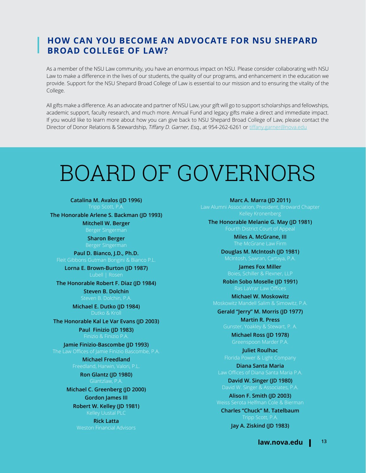## **HOW CAN YOU BECOME AN ADVOCATE FOR NSU SHEPARD BROAD COLLEGE OF LAW?**

As a member of the NSU Law community, you have an enormous impact on NSU. Please consider collaborating with NSU Law to make a difference in the lives of our students, the quality of our programs, and enhancement in the education we provide. Support for the NSU Shepard Broad College of Law is essential to our mission and to ensuring the vitality of the College.

All gifts make a difference. As an advocate and partner of NSU Law, your gift will go to support scholarships and fellowships, academic support, faculty research, and much more. Annual Fund and legacy gifts make a direct and immediate impact. If you would like to learn more about how you can give back to NSU Shepard Broad College of Law, please contact the Director of Donor Relations & Stewardship, Tiffany D. Garner, Esq., at 954-262-6261 or tiffany.garner@nova.edu

# BOARD OF GOVERNORS

**Catalina M. Avalos (JD 1996)** Tripp Scott, P.A.

**The Honorable Arlene S. Backman (JD 1993)**

**Mitchell W. Berger**

**Sharon Berger**

**Paul D. Bianco, J.D., Ph.D.** Fleit Gibbons Gutman Bongini & Bianco P.L.

**Lorna E. Brown-Burton (JD 1987)**

**The Honorable Robert F. Diaz (JD 1984)**

**Steven B. Dolchin**

**Michael E. Dutko (JD 1984)**

**The Honorable Kal Le Var Evans (JD 2003)**

**Paul Finizio (JD 1983)**

**Jamie Finizio-Bascombe (JD 1993)**

**Michael Freedland**

**Ron Glantz (JD 1980)**

**Michael C. Greenberg (JD 2000)**

**Gordon James III**

**Robert W. Kelley (JD 1981)**

**Rick Latta** Weston Financial Advisors **Marc A. Marra (JD 2011)**

**The Honorable Melanie G. May (JD 1981)** Fourth District Court of Appeal

**Miles A. McGrane, III**

**Douglas M. McIntosh (JD 1981)**

**James Fox Miller Robin Sobo Moselle (JD 1991)**

**Michael W. Moskowitz**

**Gerald "Jerry" M. Morris (JD 1977) Martin R. Press**

**Michael Ross (JD 1978)**

Greenspoon Marder P.A. **Juliet Roulhac**

**Diana Santa Maria**

**David W. Singer (JD 1980)**

David W. Singer & Associates, P.A. **Alison F. Smith (JD 2003)**

Weiss Serota Helfman Cole & Bierman

**Charles "Chuck" M. Tatelbaum**

**Jay A. Ziskind (JD 1983)**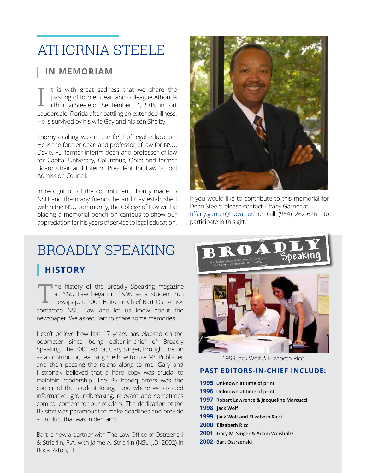# ATHORNIA STEELE

## **IN MEMORIAM**

I t is with great sadness that we share the passing of former dean and colleague Athornia (Thorny) Steele on September 14, 2019, in Fort Lauderdale, Florida after battling an extended illness. He is survived by his wife Gay and his son Shelby.

Thorny's calling was in the field of legal education. He is the former dean and professor of law for NSU, Davie, FL; former interim dean and professor of law for Capital University, Columbus, Ohio; and former Board Chair and Interim President for Law School Admission Council.

In recognition of the commitment Thorny made to NSU and the many friends he and Gay established within the NSU community, the College of Law will be placing a memorial bench on campus to show our appreciation for his years of service to legal education.



If you would like to contribute to this memorial for Dean Steele, please contact Tiffany Garner at tiffany.garner@nova.edu or call (954) 262-6261 to participate in this gift.

## **HISTORY** BROADLY SPEAKING

The history of the Broadly Speaking magazine<br>
at NSU Law began in 1995 as a student run<br>
newspaper. 2002 Editor-in-Chief Bart Ostrzenski at NSU Law began in 1995 as a student run contacted NSU Law and let us know about the newspaper. We asked Bart to share some memories.

I can't believe how fast 17 years has elapsed on the odometer since being editor-in-chief of Broadly Speaking. The 2001 editor, Gary Singer, brought me on as a contributor, teaching me how to use MS Publisher and then passing the reigns along to me. Gary and I strongly believed that a hard copy was crucial to maintain readership. The BS headquarters was the corner of the student lounge and where we created informative, groundbreaking, relevant and sometimes comical content for our readers. The dedication of the BS staff was paramount to make deadlines and provide a product that was in demand.

& Stricklin, P.A. with Jaime A. Stricklin (NSU J.D. 2002) in<br>-Bart is now a partner with The Law Office of Ostrzenski Boca Raton, FL.



1999 Jack Wolf & Elizabeth Ricci

## **PAST EDITORS-IN-CHIEF INCLUDE:**

| 1995 Unknown at time of print              |
|--------------------------------------------|
| 1996 Unknown at time of print              |
| 1997 Robert Lawrence & Jacqueline Marcucci |
| 1998 Jack Wolf                             |
| 1999 Jack Wolf and Elizabeth Ricci         |
| 2000 Elizabeth Ricci                       |
| 2001 Gary M. Singer & Adam Weisholtz       |
| 2002 Bart Ostrzenski                       |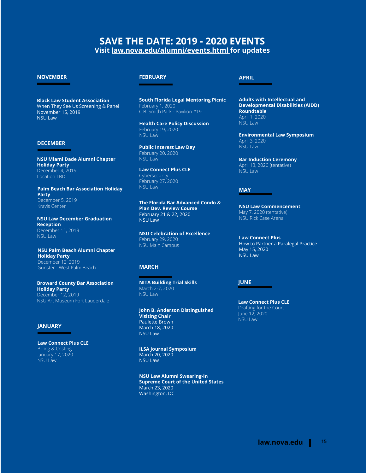## **SAVE THE DATE: 2019 - 2020 EVENTS Visit law.nova.edu/alumni/events.html for updates**

## **NOVEMBER**

**Black Law Student Association** When They See Us Screening & Panel November 15, 2019 NSU Law

#### **DECEMBER**

**NSU Miami Dade Alumni Chapter Holiday Party** December 4, 2019 Location TBD

**Palm Beach Bar Association Holiday Party** December 5, 2019 Kravis Center

**NSU Law December Graduation Reception** December 11, 2019 NSU Law

**NSU Palm Beach Alumni Chapter Holiday Party**  December 12, 2019 Gunster - West Palm Beach

**Broward County Bar Association Holiday Party** December 12, 2019 NSU Art Museum Fort Lauderdale

## **JANUARY**

**Law Connect Plus CLE** Billing & Costing January 17, 2020 NSU Law

## **FEBRUARY**

**South Florida Legal Mentoring Picnic** February 1, 2020 C.B. Smith Park - Pavilion #19

**Health Care Policy Discussion** February 19, 2020 NSU Law

**Public Interest Law Day** February 20, 2020 NSU Law

**Law Connect Plus CLE Cybersecurity** February 27, 2020 NSU Law

**The Florida Bar Advanced Condo & Plan Dev. Review Course** February 21 & 22, 2020 NSU Law

**NSU Celebration of Excellence** February 29, 2020 NSU Main Campus

## **MARCH**

**NITA Building Trial Skills** March 2-7, 2020 NSU Law

**John B. Anderson Distinguished Visiting Chair** Paulette Brown March 18, 2020 NSU Law

**ILSA Journal Symposium** March 20, 2020 NSU Law

**NSU Law Alumni Swearing-In Supreme Court of the United States** March 23, 2020 Washington, DC

#### **APRIL**

**Adults with Intellectual and Developmental Disabilities (AIDD) Roundtable** April 1, 2020 NSU Law

**Environmental Law Symposium** April 3, 2020  $NSU$  Law

**Bar Induction Ceremony** April 13, 2020 (tentative) NSU Law

#### **MAY**

**NSU Law Commencement** May 7, 2020 (tentative) NSU Rick Case Arena

**Law Connect Plus** How to Partner a Paralegal Practice May 15, 2020 NSU Law

## **JUNE**

**Law Connect Plus CLE** Drafting for the Court June 12, 2020 NSU Law